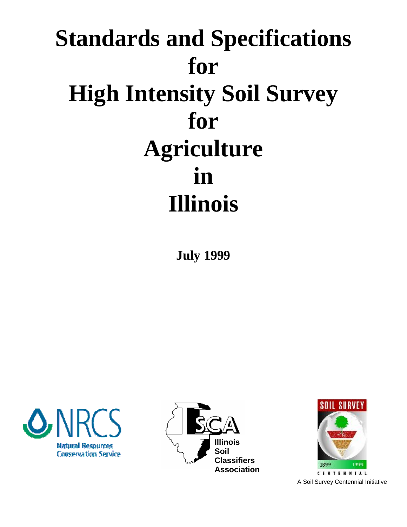# **Standards and Specifications for High Intensity Soil Survey for Agriculture in Illinois**

**July 1999** 







**CENTERNIAL** A Soil Survey Centennial Initiative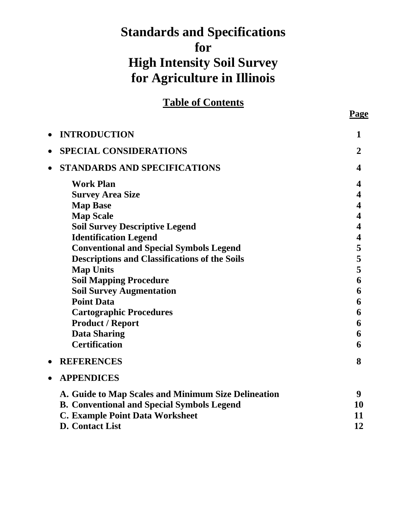# **Standards and Specifications for High Intensity Soil Survey for Agriculture in Illinois**

**Table of Contents**

| $\bullet$ | <b>INTRODUCTION</b>                                  | 1              |
|-----------|------------------------------------------------------|----------------|
| $\bullet$ | <b>SPECIAL CONSIDERATIONS</b>                        | $\overline{2}$ |
| $\bullet$ | <b>STANDARDS AND SPECIFICATIONS</b>                  | 4              |
|           | <b>Work Plan</b>                                     | 4              |
|           | <b>Survey Area Size</b>                              | 4              |
|           | <b>Map Base</b>                                      | 4              |
|           | <b>Map Scale</b>                                     | 4              |
|           | <b>Soil Survey Descriptive Legend</b>                | 4              |
|           | <b>Identification Legend</b>                         | 4              |
|           | <b>Conventional and Special Symbols Legend</b>       | 5              |
|           | <b>Descriptions and Classifications of the Soils</b> | 5              |
|           | <b>Map Units</b>                                     | 5              |
|           | <b>Soil Mapping Procedure</b>                        | 6              |
|           | <b>Soil Survey Augmentation</b>                      | 6              |
|           | <b>Point Data</b>                                    | 6              |
|           | <b>Cartographic Procedures</b>                       | 6              |
|           | <b>Product / Report</b>                              | 6              |
|           | <b>Data Sharing</b>                                  | 6              |
|           | <b>Certification</b>                                 | 6              |
| $\bullet$ | <b>REFERENCES</b>                                    | 8              |
| $\bullet$ | <b>APPENDICES</b>                                    |                |
|           | A. Guide to Map Scales and Minimum Size Delineation  | 9              |
|           | <b>B. Conventional and Special Symbols Legend</b>    | 10             |
|           | <b>C. Example Point Data Worksheet</b>               | 11             |
|           | <b>D.</b> Contact List                               | 12             |

**Page**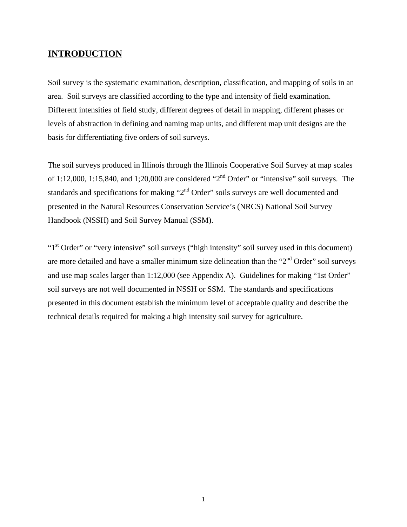#### **INTRODUCTION**

Soil survey is the systematic examination, description, classification, and mapping of soils in an area. Soil surveys are classified according to the type and intensity of field examination. Different intensities of field study, different degrees of detail in mapping, different phases or levels of abstraction in defining and naming map units, and different map unit designs are the basis for differentiating five orders of soil surveys.

 The soil surveys produced in Illinois through the Illinois Cooperative Soil Survey at map scales of 1:12,000, 1:15,840, and 1;20,000 are considered "2<sup>nd</sup> Order" or "intensive" soil surveys. The standards and specifications for making "2<sup>nd</sup> Order" soils surveys are well documented and presented in the Natural Resources Conservation Service's (NRCS) National Soil Survey Handbook (NSSH) and Soil Survey Manual (SSM).

"1<sup>st</sup> Order" or "very intensive" soil surveys ("high intensity" soil survey used in this document) are more detailed and have a smaller minimum size delineation than the " $2<sup>nd</sup>$  Order" soil surveys and use map scales larger than 1:12,000 (see Appendix A). Guidelines for making "1st Order" soil surveys are not well documented in NSSH or SSM. The standards and specifications presented in this document establish the minimum level of acceptable quality and describe the technical details required for making a high intensity soil survey for agriculture.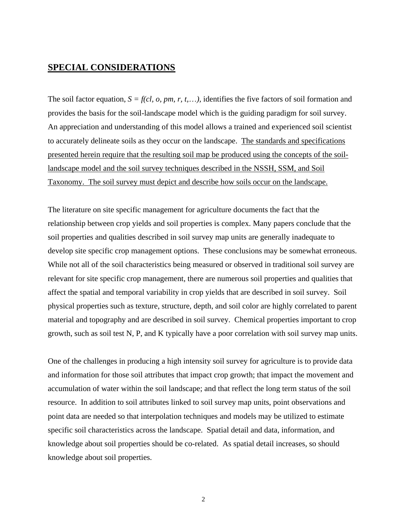# **SPECIAL CONSIDERATIONS**

The soil factor equation,  $S = f(cl, o, pm, r, t, \ldots)$ , identifies the five factors of soil formation and provides the basis for the soil-landscape model which is the guiding paradigm for soil survey. An appreciation and understanding of this model allows a trained and experienced soil scientist to accurately delineate soils as they occur on the landscape. The standards and specifications presented herein require that the resulting soil map be produced using the concepts of the soillandscape model and the soil survey techniques described in the NSSH, SSM, and Soil Taxonomy. The soil survey must depict and describe how soils occur on the landscape.

The literature on site specific management for agriculture documents the fact that the relationship between crop yields and soil properties is complex. Many papers conclude that the soil properties and qualities described in soil survey map units are generally inadequate to develop site specific crop management options. These conclusions may be somewhat erroneous. While not all of the soil characteristics being measured or observed in traditional soil survey are relevant for site specific crop management, there are numerous soil properties and qualities that affect the spatial and temporal variability in crop yields that are described in soil survey. Soil physical properties such as texture, structure, depth, and soil color are highly correlated to parent material and topography and are described in soil survey. Chemical properties important to crop growth, such as soil test N, P, and K typically have a poor correlation with soil survey map units.

One of the challenges in producing a high intensity soil survey for agriculture is to provide data and information for those soil attributes that impact crop growth; that impact the movement and accumulation of water within the soil landscape; and that reflect the long term status of the soil resource. In addition to soil attributes linked to soil survey map units, point observations and point data are needed so that interpolation techniques and models may be utilized to estimate specific soil characteristics across the landscape. Spatial detail and data, information, and knowledge about soil properties should be co-related. As spatial detail increases, so should knowledge about soil properties.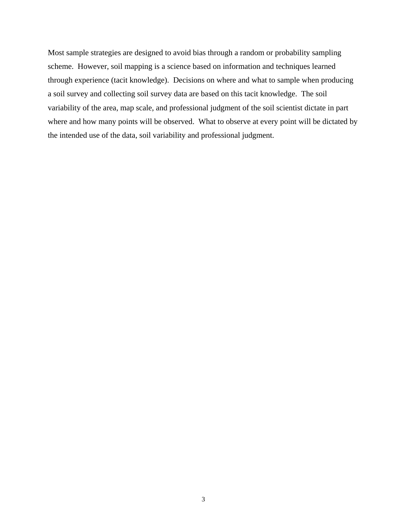Most sample strategies are designed to avoid bias through a random or probability sampling scheme. However, soil mapping is a science based on information and techniques learned through experience (tacit knowledge). Decisions on where and what to sample when producing a soil survey and collecting soil survey data are based on this tacit knowledge. The soil variability of the area, map scale, and professional judgment of the soil scientist dictate in part where and how many points will be observed. What to observe at every point will be dictated by the intended use of the data, soil variability and professional judgment.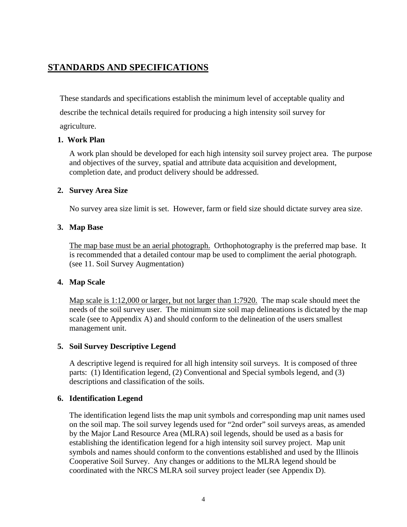# **STANDARDS AND SPECIFICATIONS**

These standards and specifications establish the minimum level of acceptable quality and describe the technical details required for producing a high intensity soil survey for agriculture.

#### **1. Work Plan**

 A work plan should be developed for each high intensity soil survey project area. The purpose and objectives of the survey, spatial and attribute data acquisition and development, completion date, and product delivery should be addressed.

#### **2. Survey Area Size**

No survey area size limit is set. However, farm or field size should dictate survey area size.

#### **3. Map Base**

The map base must be an aerial photograph. Orthophotography is the preferred map base. It is recommended that a detailed contour map be used to compliment the aerial photograph. (see 11. Soil Survey Augmentation)

#### **4. Map Scale**

Map scale is 1:12,000 or larger, but not larger than 1:7920. The map scale should meet the needs of the soil survey user. The minimum size soil map delineations is dictated by the map scale (see to Appendix A) and should conform to the delineation of the users smallest management unit.

#### **5. Soil Survey Descriptive Legend**

A descriptive legend is required for all high intensity soil surveys. It is composed of three parts: (1) Identification legend, (2) Conventional and Special symbols legend, and (3) descriptions and classification of the soils.

#### **6. Identification Legend**

The identification legend lists the map unit symbols and corresponding map unit names used on the soil map. The soil survey legends used for "2nd order" soil surveys areas, as amended by the Major Land Resource Area (MLRA) soil legends, should be used as a basis for establishing the identification legend for a high intensity soil survey project. Map unit symbols and names should conform to the conventions established and used by the Illinois Cooperative Soil Survey. Any changes or additions to the MLRA legend should be coordinated with the NRCS MLRA soil survey project leader (see Appendix D).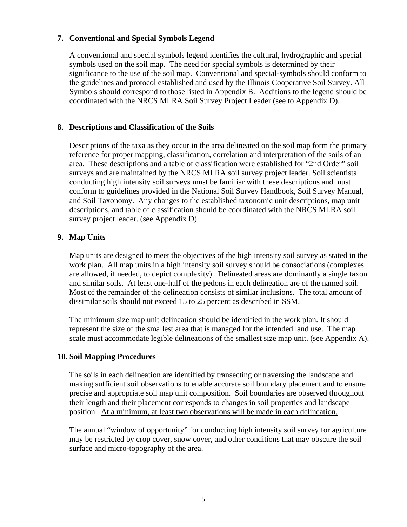#### **7. Conventional and Special Symbols Legend**

A conventional and special symbols legend identifies the cultural, hydrographic and special symbols used on the soil map. The need for special symbols is determined by their significance to the use of the soil map. Conventional and special-symbols should conform to the guidelines and protocol established and used by the Illinois Cooperative Soil Survey. All Symbols should correspond to those listed in Appendix B. Additions to the legend should be coordinated with the NRCS MLRA Soil Survey Project Leader (see to Appendix D).

#### **8. Descriptions and Classification of the Soils**

Descriptions of the taxa as they occur in the area delineated on the soil map form the primary reference for proper mapping, classification, correlation and interpretation of the soils of an area. These descriptions and a table of classification were established for "2nd Order" soil surveys and are maintained by the NRCS MLRA soil survey project leader. Soil scientists conducting high intensity soil surveys must be familiar with these descriptions and must conform to guidelines provided in the National Soil Survey Handbook, Soil Survey Manual, and Soil Taxonomy. Any changes to the established taxonomic unit descriptions, map unit descriptions, and table of classification should be coordinated with the NRCS MLRA soil survey project leader. (see Appendix D)

#### **9. Map Units**

Map units are designed to meet the objectives of the high intensity soil survey as stated in the work plan. All map units in a high intensity soil survey should be consociations (complexes are allowed, if needed, to depict complexity). Delineated areas are dominantly a single taxon and similar soils. At least one-half of the pedons in each delineation are of the named soil. Most of the remainder of the delineation consists of similar inclusions. The total amount of dissimilar soils should not exceed 15 to 25 percent as described in SSM.

The minimum size map unit delineation should be identified in the work plan. It should represent the size of the smallest area that is managed for the intended land use. The map scale must accommodate legible delineations of the smallest size map unit. (see Appendix A).

#### **10. Soil Mapping Procedures**

The soils in each delineation are identified by transecting or traversing the landscape and making sufficient soil observations to enable accurate soil boundary placement and to ensure precise and appropriate soil map unit composition. Soil boundaries are observed throughout their length and their placement corresponds to changes in soil properties and landscape position. At a minimum, at least two observations will be made in each delineation.

The annual "window of opportunity" for conducting high intensity soil survey for agriculture may be restricted by crop cover, snow cover, and other conditions that may obscure the soil surface and micro-topography of the area.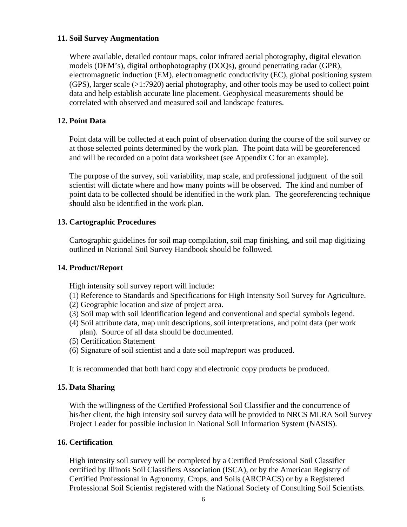#### **11. Soil Survey Augmentation**

Where available, detailed contour maps, color infrared aerial photography, digital elevation models (DEM's), digital orthophotography (DOQs), ground penetrating radar (GPR), electromagnetic induction (EM), electromagnetic conductivity (EC), global positioning system (GPS), larger scale (>1:7920) aerial photography, and other tools may be used to collect point data and help establish accurate line placement. Geophysical measurements should be correlated with observed and measured soil and landscape features.

#### **12. Point Data**

Point data will be collected at each point of observation during the course of the soil survey or at those selected points determined by the work plan. The point data will be georeferenced and will be recorded on a point data worksheet (see Appendix C for an example).

The purpose of the survey, soil variability, map scale, and professional judgment of the soil scientist will dictate where and how many points will be observed. The kind and number of point data to be collected should be identified in the work plan. The georeferencing technique should also be identified in the work plan.

#### **13. Cartographic Procedures**

Cartographic guidelines for soil map compilation, soil map finishing, and soil map digitizing outlined in National Soil Survey Handbook should be followed.

#### **14. Product/Report**

High intensity soil survey report will include:

- (1) Reference to Standards and Specifications for High Intensity Soil Survey for Agriculture.
- (2) Geographic location and size of project area.
- (3) Soil map with soil identification legend and conventional and special symbols legend.
- (4) Soil attribute data, map unit descriptions, soil interpretations, and point data (per work plan). Source of all data should be documented.
- (5) Certification Statement
- (6) Signature of soil scientist and a date soil map/report was produced.

It is recommended that both hard copy and electronic copy products be produced.

#### **15. Data Sharing**

With the willingness of the Certified Professional Soil Classifier and the concurrence of his/her client, the high intensity soil survey data will be provided to NRCS MLRA Soil Survey Project Leader for possible inclusion in National Soil Information System (NASIS).

#### **16. Certification**

High intensity soil survey will be completed by a Certified Professional Soil Classifier certified by Illinois Soil Classifiers Association (ISCA), or by the American Registry of Certified Professional in Agronomy, Crops, and Soils (ARCPACS) or by a Registered Professional Soil Scientist registered with the National Society of Consulting Soil Scientists.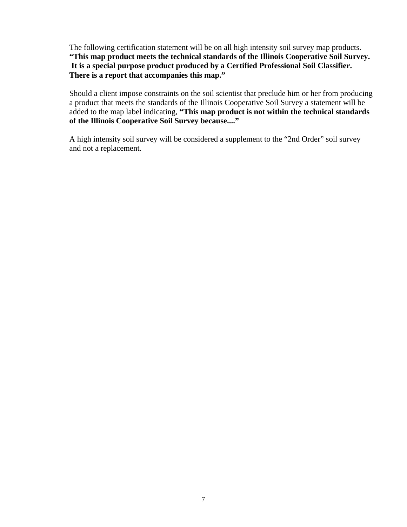The following certification statement will be on all high intensity soil survey map products. **"This map product meets the technical standards of the Illinois Cooperative Soil Survey. It is a special purpose product produced by a Certified Professional Soil Classifier. There is a report that accompanies this map."** 

Should a client impose constraints on the soil scientist that preclude him or her from producing a product that meets the standards of the Illinois Cooperative Soil Survey a statement will be added to the map label indicating, **"This map product is not within the technical standards of the Illinois Cooperative Soil Survey because...."** 

A high intensity soil survey will be considered a supplement to the "2nd Order" soil survey and not a replacement.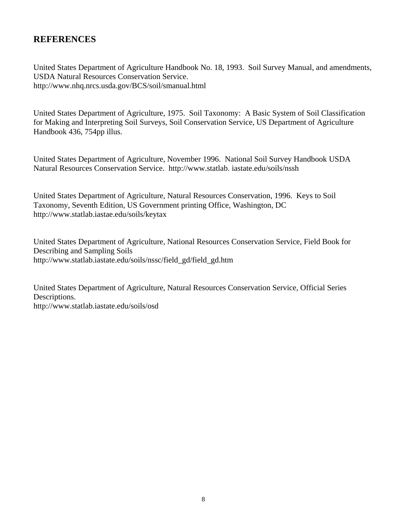# **REFERENCES**

United States Department of Agriculture Handbook No. 18, 1993. Soil Survey Manual, and amendments, USDA Natural Resources Conservation Service. http://www.nhq.nrcs.usda.gov/BCS/soil/smanual.html

United States Department of Agriculture, 1975. Soil Taxonomy: A Basic System of Soil Classification for Making and Interpreting Soil Surveys, Soil Conservation Service, US Department of Agriculture Handbook 436, 754pp illus.

United States Department of Agriculture, November 1996. National Soil Survey Handbook USDA Natural Resources Conservation Service. http://www.statlab. iastate.edu/soils/nssh

United States Department of Agriculture, Natural Resources Conservation, 1996. Keys to Soil Taxonomy, Seventh Edition, US Government printing Office, Washington, DC http://www.statlab.iastae.edu/soils/keytax

United States Department of Agriculture, National Resources Conservation Service, Field Book for Describing and Sampling Soils http://www.statlab.iastate.edu/soils/nssc/field\_gd/field\_gd.htm

United States Department of Agriculture, Natural Resources Conservation Service, Official Series Descriptions. http://www.statlab.iastate.edu/soils/osd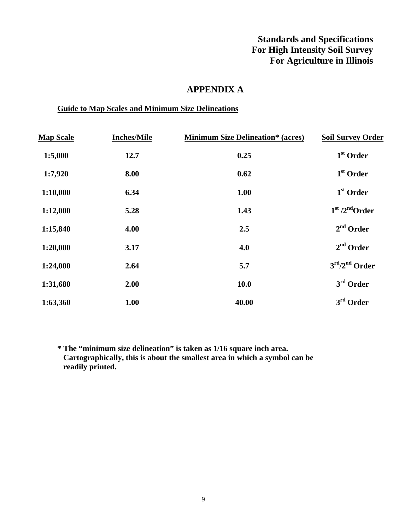# **Standards and Specifications For High Intensity Soil Survey For Agriculture in Illinois**

# **APPENDIX A**

#### **Guide to Map Scales and Minimum Size Delineations**

| <b>Map Scale</b> | <b>Inches/Mile</b> | <b>Minimum Size Delineation* (acres)</b> | <b>Soil Survey Order</b>     |
|------------------|--------------------|------------------------------------------|------------------------------|
| 1:5,000          | 12.7               | 0.25                                     | $1st$ Order                  |
| 1:7,920          | 8.00               | 0.62                                     | $1st$ Order                  |
| 1:10,000         | 6.34               | 1.00                                     | $1st$ Order                  |
| 1:12,000         | 5.28               | 1.43                                     | $1st$ /2 <sup>nd</sup> Order |
| 1:15,840         | 4.00               | 2.5                                      | $2nd$ Order                  |
| 1:20,000         | 3.17               | 4.0                                      | $2nd$ Order                  |
| 1:24,000         | 2.64               | 5.7                                      | $3rd/2nd$ Order              |
| 1:31,680         | 2.00               | 10.0                                     | $3rd$ Order                  |
| 1:63,360         | 1.00               | 40.00                                    | $3rd$ Order                  |

**\* The "minimum size delineation" is taken as 1/16 square inch area. Cartographically, this is about the smallest area in which a symbol can be readily printed.**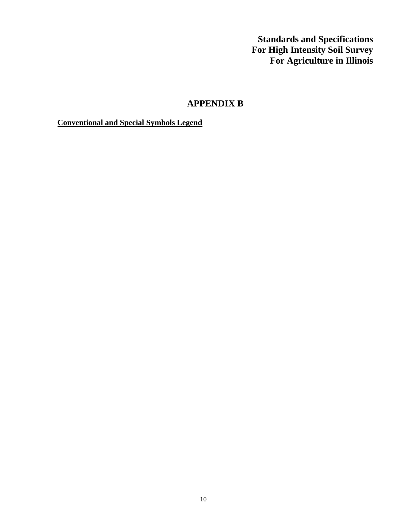**Standards and Specifications For High Intensity Soil Survey For Agriculture in Illinois** 

# **APPENDIX B**

**Conventional and Special Symbols Legend**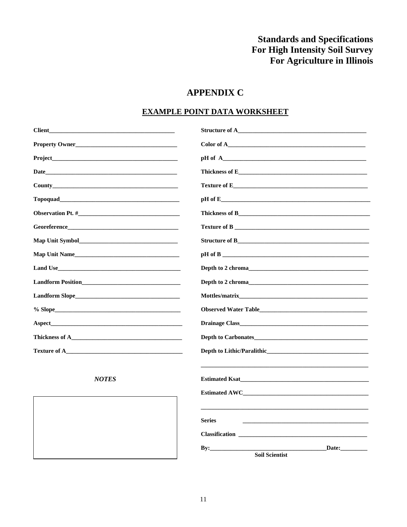# **Standards and Specifications** For High Intensity Soil Survey For Agriculture in Illinois

# **APPENDIX C**

## **EXAMPLE POINT DATA WORKSHEET**

| Client_                                                                                                                                                                                                                             | Structure of A                                                                                                                                                                                                                |
|-------------------------------------------------------------------------------------------------------------------------------------------------------------------------------------------------------------------------------------|-------------------------------------------------------------------------------------------------------------------------------------------------------------------------------------------------------------------------------|
| Property Owner                                                                                                                                                                                                                      | Color of A                                                                                                                                                                                                                    |
| Project Project                                                                                                                                                                                                                     |                                                                                                                                                                                                                               |
| Date                                                                                                                                                                                                                                |                                                                                                                                                                                                                               |
| <b>County</b> County County County County County County County County County County County County County County County County County County County County County County County County County County County County County County Cou |                                                                                                                                                                                                                               |
|                                                                                                                                                                                                                                     | $\mathbf{p}$ H of E                                                                                                                                                                                                           |
|                                                                                                                                                                                                                                     |                                                                                                                                                                                                                               |
|                                                                                                                                                                                                                                     |                                                                                                                                                                                                                               |
|                                                                                                                                                                                                                                     |                                                                                                                                                                                                                               |
| Map Unit Name                                                                                                                                                                                                                       |                                                                                                                                                                                                                               |
|                                                                                                                                                                                                                                     |                                                                                                                                                                                                                               |
| <b>Landform Position</b>                                                                                                                                                                                                            | Depth to 2 chroma that the state of the state of the state of the state of the state of the state of the state of the state of the state of the state of the state of the state of the state of the state of the state of the |
|                                                                                                                                                                                                                                     | Mottles/matrix                                                                                                                                                                                                                |
|                                                                                                                                                                                                                                     | Observed Water Table <b>Exercise 2008</b>                                                                                                                                                                                     |
| <b>Aspect</b>                                                                                                                                                                                                                       | <b>Drainage Class</b>                                                                                                                                                                                                         |
| Thickness of A                                                                                                                                                                                                                      | <b>Depth to Carbonates</b>                                                                                                                                                                                                    |
|                                                                                                                                                                                                                                     |                                                                                                                                                                                                                               |
|                                                                                                                                                                                                                                     |                                                                                                                                                                                                                               |
| <b>NOTES</b>                                                                                                                                                                                                                        |                                                                                                                                                                                                                               |
|                                                                                                                                                                                                                                     | Estimated AWC                                                                                                                                                                                                                 |
|                                                                                                                                                                                                                                     |                                                                                                                                                                                                                               |
|                                                                                                                                                                                                                                     | <b>Series</b>                                                                                                                                                                                                                 |
|                                                                                                                                                                                                                                     | <b>Classification</b>                                                                                                                                                                                                         |
|                                                                                                                                                                                                                                     | Date:<br>$\mathbf{By:}$<br><b>Soil Scientist</b>                                                                                                                                                                              |